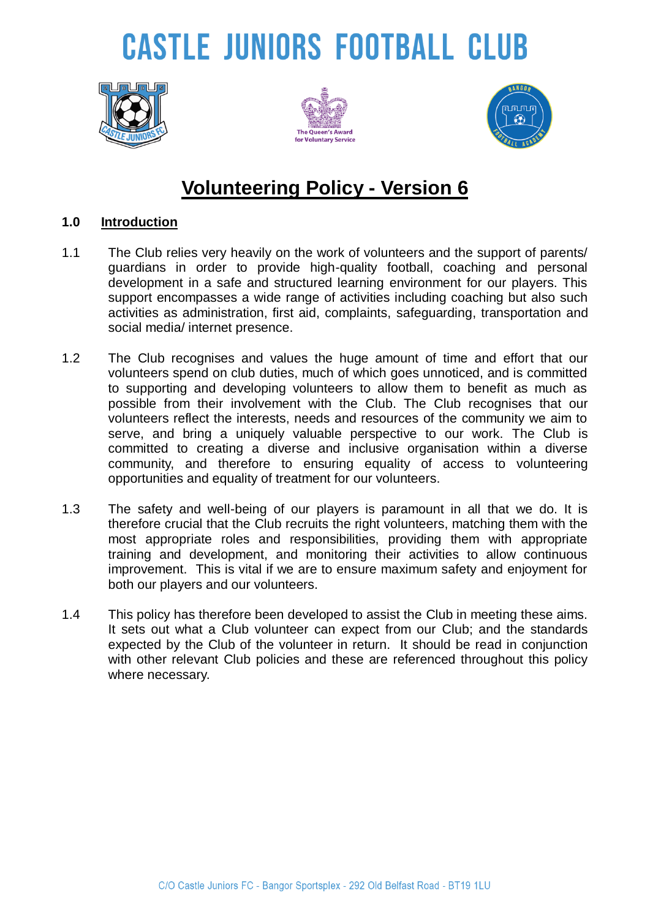# **CASTLE JUNIORS FOOTBALL CLUB**







### **Volunteering Policy - Version 6**

#### **1.0 Introduction**

- 1.1 The Club relies very heavily on the work of volunteers and the support of parents/ guardians in order to provide high-quality football, coaching and personal development in a safe and structured learning environment for our players. This support encompasses a wide range of activities including coaching but also such activities as administration, first aid, complaints, safeguarding, transportation and social media/ internet presence.
- 1.2 The Club recognises and values the huge amount of time and effort that our volunteers spend on club duties, much of which goes unnoticed, and is committed to supporting and developing volunteers to allow them to benefit as much as possible from their involvement with the Club. The Club recognises that our volunteers reflect the interests, needs and resources of the community we aim to serve, and bring a uniquely valuable perspective to our work. The Club is committed to creating a diverse and inclusive organisation within a diverse community, and therefore to ensuring equality of access to volunteering opportunities and equality of treatment for our volunteers.
- 1.3 The safety and well-being of our players is paramount in all that we do. It is therefore crucial that the Club recruits the right volunteers, matching them with the most appropriate roles and responsibilities, providing them with appropriate training and development, and monitoring their activities to allow continuous improvement. This is vital if we are to ensure maximum safety and enjoyment for both our players and our volunteers.
- 1.4 This policy has therefore been developed to assist the Club in meeting these aims. It sets out what a Club volunteer can expect from our Club; and the standards expected by the Club of the volunteer in return. It should be read in conjunction with other relevant Club policies and these are referenced throughout this policy where necessary.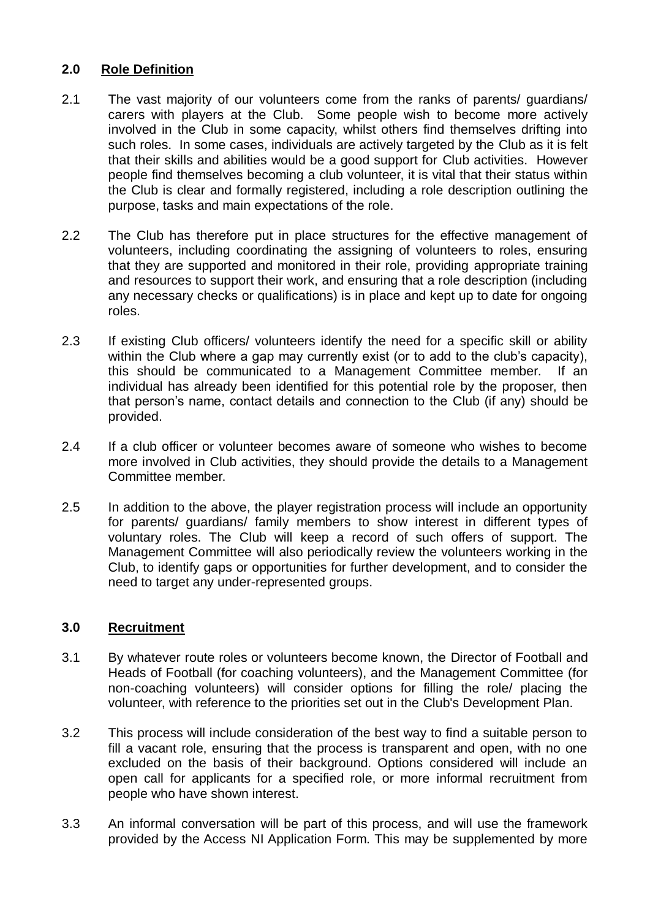#### **2.0 Role Definition**

- 2.1 The vast majority of our volunteers come from the ranks of parents/ guardians/ carers with players at the Club. Some people wish to become more actively involved in the Club in some capacity, whilst others find themselves drifting into such roles. In some cases, individuals are actively targeted by the Club as it is felt that their skills and abilities would be a good support for Club activities. However people find themselves becoming a club volunteer, it is vital that their status within the Club is clear and formally registered, including a role description outlining the purpose, tasks and main expectations of the role.
- 2.2 The Club has therefore put in place structures for the effective management of volunteers, including coordinating the assigning of volunteers to roles, ensuring that they are supported and monitored in their role, providing appropriate training and resources to support their work, and ensuring that a role description (including any necessary checks or qualifications) is in place and kept up to date for ongoing roles.
- 2.3 If existing Club officers/ volunteers identify the need for a specific skill or ability within the Club where a gap may currently exist (or to add to the club's capacity), this should be communicated to a Management Committee member. If an individual has already been identified for this potential role by the proposer, then that person's name, contact details and connection to the Club (if any) should be provided.
- 2.4 If a club officer or volunteer becomes aware of someone who wishes to become more involved in Club activities, they should provide the details to a Management Committee member.
- 2.5 In addition to the above, the player registration process will include an opportunity for parents/ guardians/ family members to show interest in different types of voluntary roles. The Club will keep a record of such offers of support. The Management Committee will also periodically review the volunteers working in the Club, to identify gaps or opportunities for further development, and to consider the need to target any under-represented groups.

#### **3.0 Recruitment**

- 3.1 By whatever route roles or volunteers become known, the Director of Football and Heads of Football (for coaching volunteers), and the Management Committee (for non-coaching volunteers) will consider options for filling the role/ placing the volunteer, with reference to the priorities set out in the Club's Development Plan.
- 3.2 This process will include consideration of the best way to find a suitable person to fill a vacant role, ensuring that the process is transparent and open, with no one excluded on the basis of their background. Options considered will include an open call for applicants for a specified role, or more informal recruitment from people who have shown interest.
- 3.3 An informal conversation will be part of this process, and will use the framework provided by the Access NI Application Form. This may be supplemented by more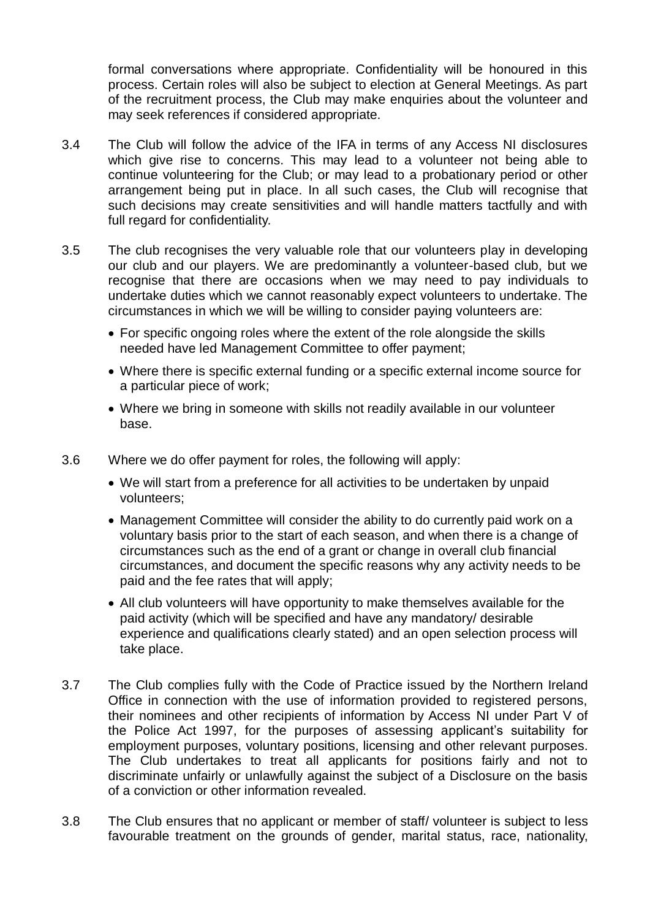formal conversations where appropriate. Confidentiality will be honoured in this process. Certain roles will also be subject to election at General Meetings. As part of the recruitment process, the Club may make enquiries about the volunteer and may seek references if considered appropriate.

- 3.4 The Club will follow the advice of the IFA in terms of any Access NI disclosures which give rise to concerns. This may lead to a volunteer not being able to continue volunteering for the Club; or may lead to a probationary period or other arrangement being put in place. In all such cases, the Club will recognise that such decisions may create sensitivities and will handle matters tactfully and with full regard for confidentiality.
- 3.5 The club recognises the very valuable role that our volunteers play in developing our club and our players. We are predominantly a volunteer-based club, but we recognise that there are occasions when we may need to pay individuals to undertake duties which we cannot reasonably expect volunteers to undertake. The circumstances in which we will be willing to consider paying volunteers are:
	- For specific ongoing roles where the extent of the role alongside the skills needed have led Management Committee to offer payment;
	- Where there is specific external funding or a specific external income source for a particular piece of work;
	- Where we bring in someone with skills not readily available in our volunteer base.
- 3.6 Where we do offer payment for roles, the following will apply:
	- We will start from a preference for all activities to be undertaken by unpaid volunteers;
	- Management Committee will consider the ability to do currently paid work on a voluntary basis prior to the start of each season, and when there is a change of circumstances such as the end of a grant or change in overall club financial circumstances, and document the specific reasons why any activity needs to be paid and the fee rates that will apply;
	- All club volunteers will have opportunity to make themselves available for the paid activity (which will be specified and have any mandatory/ desirable experience and qualifications clearly stated) and an open selection process will take place.
- 3.7 The Club complies fully with the Code of Practice issued by the Northern Ireland Office in connection with the use of information provided to registered persons, their nominees and other recipients of information by Access NI under Part V of the Police Act 1997, for the purposes of assessing applicant's suitability for employment purposes, voluntary positions, licensing and other relevant purposes. The Club undertakes to treat all applicants for positions fairly and not to discriminate unfairly or unlawfully against the subject of a Disclosure on the basis of a conviction or other information revealed.
- 3.8 The Club ensures that no applicant or member of staff/ volunteer is subject to less favourable treatment on the grounds of gender, marital status, race, nationality,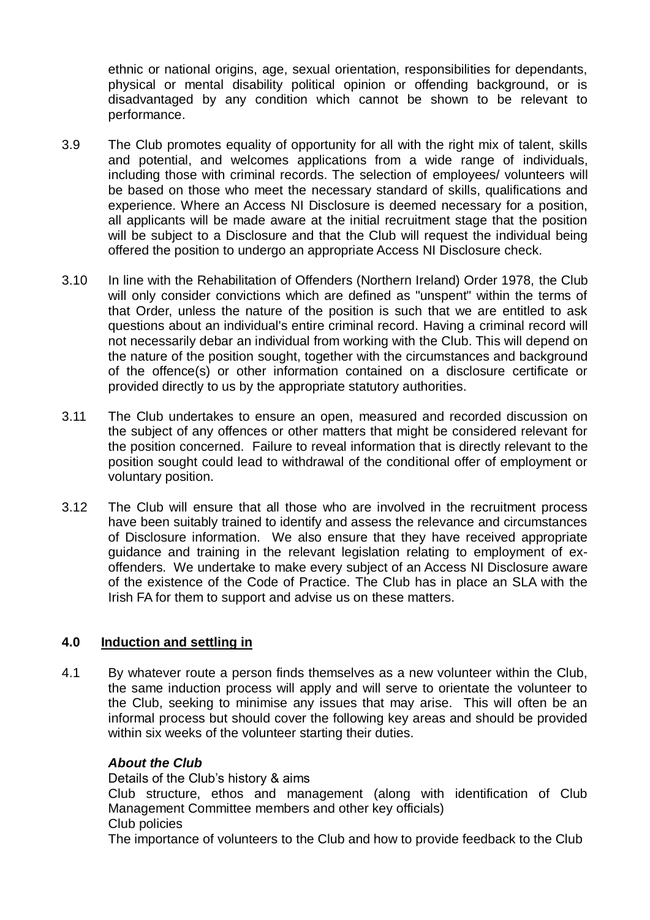ethnic or national origins, age, sexual orientation, responsibilities for dependants, physical or mental disability political opinion or offending background, or is disadvantaged by any condition which cannot be shown to be relevant to performance.

- 3.9 The Club promotes equality of opportunity for all with the right mix of talent, skills and potential, and welcomes applications from a wide range of individuals, including those with criminal records. The selection of employees/ volunteers will be based on those who meet the necessary standard of skills, qualifications and experience. Where an Access NI Disclosure is deemed necessary for a position, all applicants will be made aware at the initial recruitment stage that the position will be subject to a Disclosure and that the Club will request the individual being offered the position to undergo an appropriate Access NI Disclosure check.
- 3.10 In line with the Rehabilitation of Offenders (Northern Ireland) Order 1978, the Club will only consider convictions which are defined as "unspent" within the terms of that Order, unless the nature of the position is such that we are entitled to ask questions about an individual's entire criminal record. Having a criminal record will not necessarily debar an individual from working with the Club. This will depend on the nature of the position sought, together with the circumstances and background of the offence(s) or other information contained on a disclosure certificate or provided directly to us by the appropriate statutory authorities.
- 3.11 The Club undertakes to ensure an open, measured and recorded discussion on the subject of any offences or other matters that might be considered relevant for the position concerned. Failure to reveal information that is directly relevant to the position sought could lead to withdrawal of the conditional offer of employment or voluntary position.
- 3.12 The Club will ensure that all those who are involved in the recruitment process have been suitably trained to identify and assess the relevance and circumstances of Disclosure information. We also ensure that they have received appropriate guidance and training in the relevant legislation relating to employment of exoffenders. We undertake to make every subject of an Access NI Disclosure aware of the existence of the Code of Practice. The Club has in place an SLA with the Irish FA for them to support and advise us on these matters.

#### **4.0 Induction and settling in**

4.1 By whatever route a person finds themselves as a new volunteer within the Club, the same induction process will apply and will serve to orientate the volunteer to the Club, seeking to minimise any issues that may arise. This will often be an informal process but should cover the following key areas and should be provided within six weeks of the volunteer starting their duties.

#### *About the Club*

Details of the Club's history & aims

Club structure, ethos and management (along with identification of Club Management Committee members and other key officials) Club policies

The importance of volunteers to the Club and how to provide feedback to the Club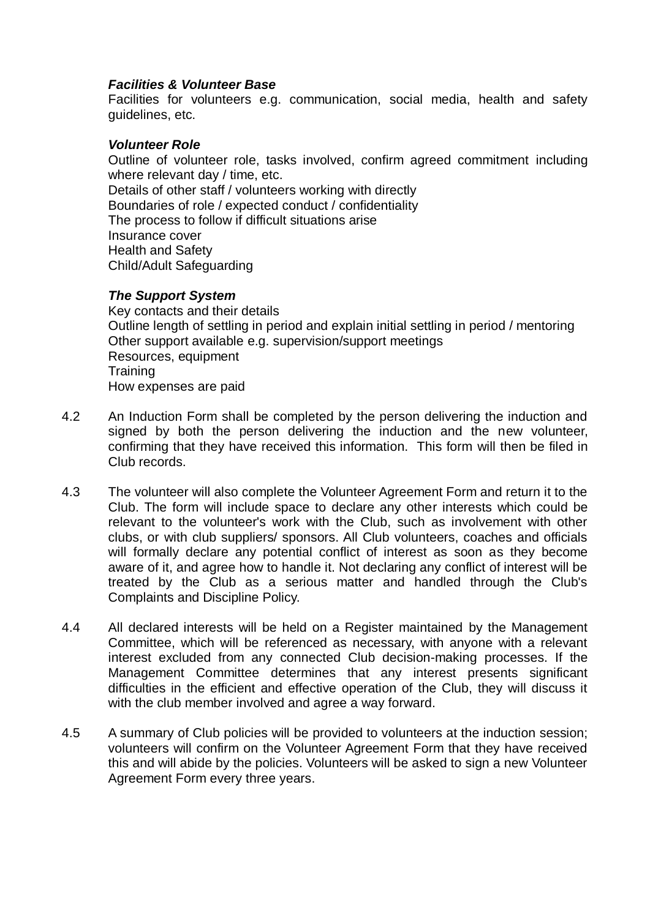#### *Facilities & Volunteer Base*

Facilities for volunteers e.g. communication, social media, health and safety guidelines, etc.

#### *Volunteer Role*

Outline of volunteer role, tasks involved, confirm agreed commitment including where relevant day / time, etc. Details of other staff / volunteers working with directly Boundaries of role / expected conduct / confidentiality The process to follow if difficult situations arise Insurance cover Health and Safety Child/Adult Safeguarding

#### *The Support System*

Key contacts and their details Outline length of settling in period and explain initial settling in period / mentoring Other support available e.g. supervision/support meetings Resources, equipment **Training** How expenses are paid

- 4.2 An Induction Form shall be completed by the person delivering the induction and signed by both the person delivering the induction and the new volunteer, confirming that they have received this information. This form will then be filed in Club records.
- 4.3 The volunteer will also complete the Volunteer Agreement Form and return it to the Club. The form will include space to declare any other interests which could be relevant to the volunteer's work with the Club, such as involvement with other clubs, or with club suppliers/ sponsors. All Club volunteers, coaches and officials will formally declare any potential conflict of interest as soon as they become aware of it, and agree how to handle it. Not declaring any conflict of interest will be treated by the Club as a serious matter and handled through the Club's Complaints and Discipline Policy.
- 4.4 All declared interests will be held on a Register maintained by the Management Committee, which will be referenced as necessary, with anyone with a relevant interest excluded from any connected Club decision-making processes. If the Management Committee determines that any interest presents significant difficulties in the efficient and effective operation of the Club, they will discuss it with the club member involved and agree a way forward.
- 4.5 A summary of Club policies will be provided to volunteers at the induction session; volunteers will confirm on the Volunteer Agreement Form that they have received this and will abide by the policies. Volunteers will be asked to sign a new Volunteer Agreement Form every three years.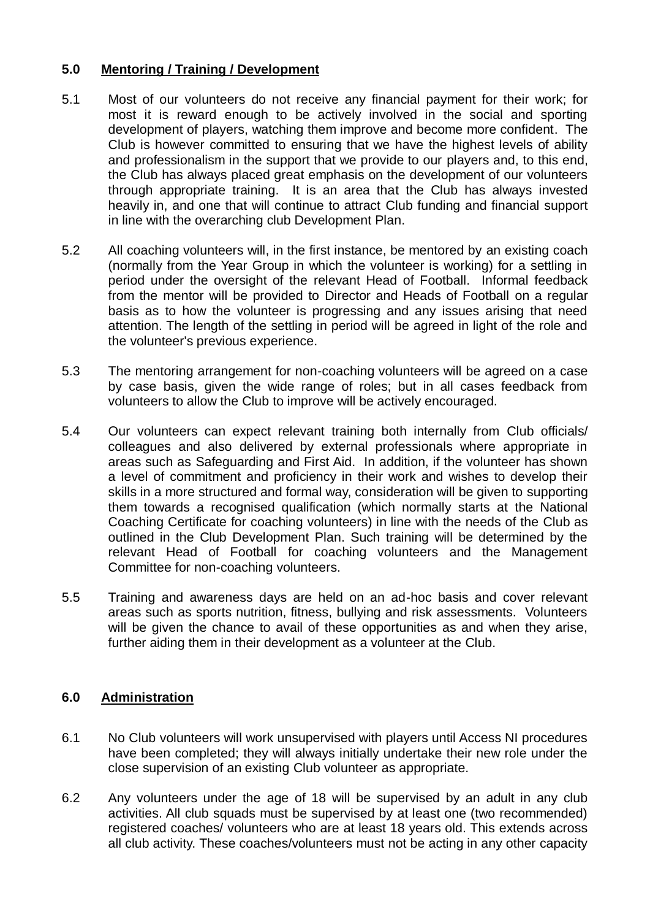#### **5.0 Mentoring / Training / Development**

- 5.1 Most of our volunteers do not receive any financial payment for their work; for most it is reward enough to be actively involved in the social and sporting development of players, watching them improve and become more confident. The Club is however committed to ensuring that we have the highest levels of ability and professionalism in the support that we provide to our players and, to this end, the Club has always placed great emphasis on the development of our volunteers through appropriate training. It is an area that the Club has always invested heavily in, and one that will continue to attract Club funding and financial support in line with the overarching club Development Plan.
- 5.2 All coaching volunteers will, in the first instance, be mentored by an existing coach (normally from the Year Group in which the volunteer is working) for a settling in period under the oversight of the relevant Head of Football. Informal feedback from the mentor will be provided to Director and Heads of Football on a regular basis as to how the volunteer is progressing and any issues arising that need attention. The length of the settling in period will be agreed in light of the role and the volunteer's previous experience.
- 5.3 The mentoring arrangement for non-coaching volunteers will be agreed on a case by case basis, given the wide range of roles; but in all cases feedback from volunteers to allow the Club to improve will be actively encouraged.
- 5.4 Our volunteers can expect relevant training both internally from Club officials/ colleagues and also delivered by external professionals where appropriate in areas such as Safeguarding and First Aid. In addition, if the volunteer has shown a level of commitment and proficiency in their work and wishes to develop their skills in a more structured and formal way, consideration will be given to supporting them towards a recognised qualification (which normally starts at the National Coaching Certificate for coaching volunteers) in line with the needs of the Club as outlined in the Club Development Plan. Such training will be determined by the relevant Head of Football for coaching volunteers and the Management Committee for non-coaching volunteers.
- 5.5 Training and awareness days are held on an ad-hoc basis and cover relevant areas such as sports nutrition, fitness, bullying and risk assessments. Volunteers will be given the chance to avail of these opportunities as and when they arise, further aiding them in their development as a volunteer at the Club.

#### **6.0 Administration**

- 6.1 No Club volunteers will work unsupervised with players until Access NI procedures have been completed; they will always initially undertake their new role under the close supervision of an existing Club volunteer as appropriate.
- 6.2 Any volunteers under the age of 18 will be supervised by an adult in any club activities. All club squads must be supervised by at least one (two recommended) registered coaches/ volunteers who are at least 18 years old. This extends across all club activity. These coaches/volunteers must not be acting in any other capacity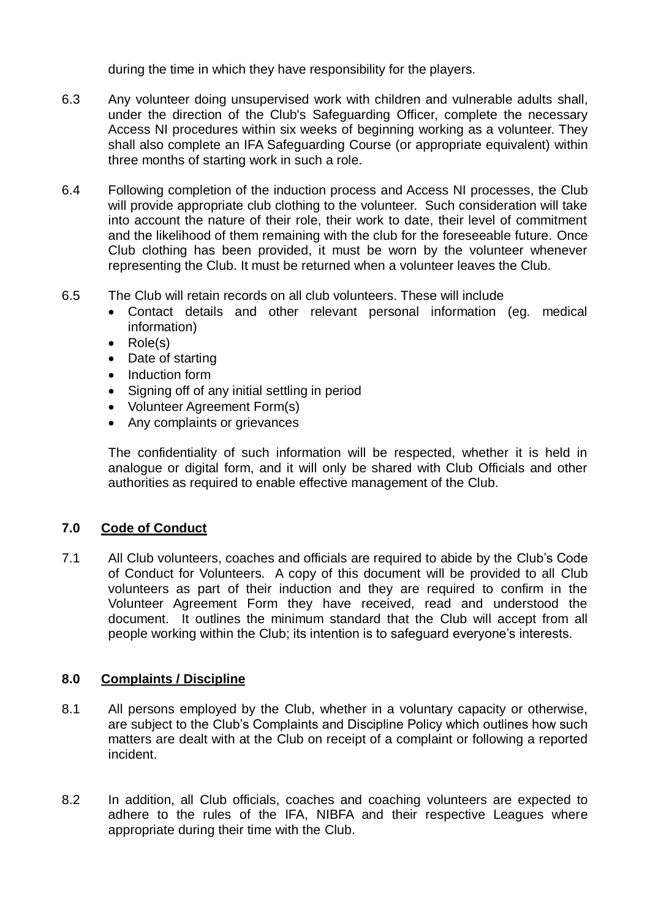during the time in which they have responsibility for the players.

- 6.3 Any volunteer doing unsupervised work with children and vulnerable adults shall, under the direction of the Club's Safeguarding Officer, complete the necessary Access NI procedures within six weeks of beginning working as a volunteer. They shall also complete an IFA Safeguarding Course (or appropriate equivalent) within three months of starting work in such a role.
- 6.4 Following completion of the induction process and Access NI processes, the Club will provide appropriate club clothing to the volunteer. Such consideration will take into account the nature of their role, their work to date, their level of commitment and the likelihood of them remaining with the club for the foreseeable future. Once Club clothing has been provided, it must be worn by the volunteer whenever representing the Club. It must be returned when a volunteer leaves the Club.
- 6.5 The Club will retain records on all club volunteers. These will include
	- Contact details and other relevant personal information (eg. medical information)
	- Role(s)
	- Date of starting
	- Induction form
	- Signing off of any initial settling in period
	- Volunteer Agreement Form(s)
	- Any complaints or grievances

The confidentiality of such information will be respected, whether it is held in analogue or digital form, and it will only be shared with Club Officials and other authorities as required to enable effective management of the Club.

#### **7.0 Code of Conduct**

7.1 All Club volunteers, coaches and officials are required to abide by the Club's Code of Conduct for Volunteers. A copy of this document will be provided to all Club volunteers as part of their induction and they are required to confirm in the Volunteer Agreement Form they have received, read and understood the document. It outlines the minimum standard that the Club will accept from all people working within the Club; its intention is to safeguard everyone's interests.

#### **8.0 Complaints / Discipline**

- 8.1 All persons employed by the Club, whether in a voluntary capacity or otherwise, are subject to the Club's Complaints and Discipline Policy which outlines how such matters are dealt with at the Club on receipt of a complaint or following a reported incident.
- 8.2 In addition, all Club officials, coaches and coaching volunteers are expected to adhere to the rules of the IFA, NIBFA and their respective Leagues where appropriate during their time with the Club.